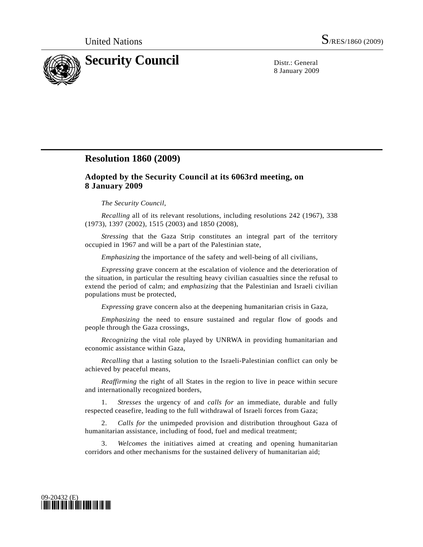

8 January 2009

## **Resolution 1860 (2009)**

## **Adopted by the Security Council at its 6063rd meeting, on 8 January 2009**

## *The Security Council*,

*Recalling* all of its relevant resolutions, including resolutions 242 (1967), 338 (1973), 1397 (2002), 1515 (2003) and 1850 (2008),

*Stressing* that the Gaza Strip constitutes an integral part of the territory occupied in 1967 and will be a part of the Palestinian state,

*Emphasizing* the importance of the safety and well-being of all civilians,

*Expressing* grave concern at the escalation of violence and the deterioration of the situation, in particular the resulting heavy civilian casualties since the refusal to extend the period of calm; and *emphasizing* that the Palestinian and Israeli civilian populations must be protected,

*Expressing* grave concern also at the deepening humanitarian crisis in Gaza,

*Emphasizing* the need to ensure sustained and regular flow of goods and people through the Gaza crossings,

*Recognizing* the vital role played by UNRWA in providing humanitarian and economic assistance within Gaza,

*Recalling* that a lasting solution to the Israeli-Palestinian conflict can only be achieved by peaceful means,

*Reaffirming* the right of all States in the region to live in peace within secure and internationally recognized borders,

 1. *Stresses* the urgency of and *calls for* an immediate, durable and fully respected ceasefire, leading to the full withdrawal of Israeli forces from Gaza;

 2. *Calls for* the unimpeded provision and distribution throughout Gaza of humanitarian assistance, including of food, fuel and medical treatment;

 3. *Welcomes* the initiatives aimed at creating and opening humanitarian corridors and other mechanisms for the sustained delivery of humanitarian aid;